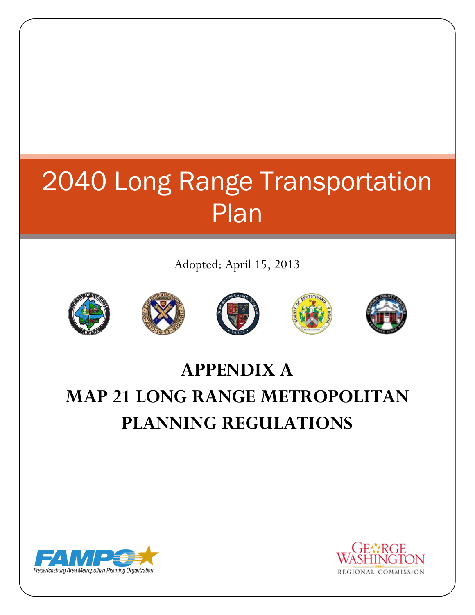## 2040 Long Range Transportation Plan

Adopted: April 15, 2013











### **APPENDIX A MAP 21 LONG RANGE METROPOLITAN PLANNING REGULATIONS**



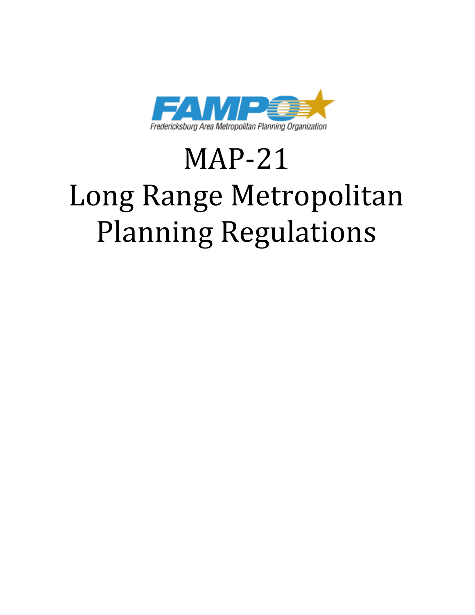

# MAP-21 Long Range Metropolitan Planning Regulations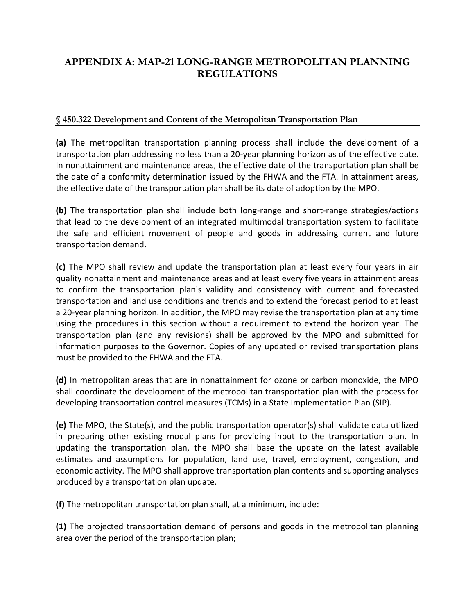### **APPENDIX A: MAP-21 LONG-RANGE METROPOLITAN PLANNING REGULATIONS**

#### **§ 450.322 Development and Content of the Metropolitan Transportation Plan**

**(a)** The metropolitan transportation planning process shall include the development of a transportation plan addressing no less than a 20-year planning horizon as of the effective date. In nonattainment and maintenance areas, the effective date of the transportation plan shall be the date of a conformity determination issued by the FHWA and the FTA. In attainment areas, the effective date of the transportation plan shall be its date of adoption by the MPO.

**(b)** The transportation plan shall include both long-range and short-range strategies/actions that lead to the development of an integrated multimodal transportation system to facilitate the safe and efficient movement of people and goods in addressing current and future transportation demand.

**(c)** The MPO shall review and update the transportation plan at least every four years in air quality nonattainment and maintenance areas and at least every five years in attainment areas to confirm the transportation plan's validity and consistency with current and forecasted transportation and land use conditions and trends and to extend the forecast period to at least a 20-year planning horizon. In addition, the MPO may revise the transportation plan at any time using the procedures in this section without a requirement to extend the horizon year. The transportation plan (and any revisions) shall be approved by the MPO and submitted for information purposes to the Governor. Copies of any updated or revised transportation plans must be provided to the FHWA and the FTA.

**(d)** In metropolitan areas that are in nonattainment for ozone or carbon monoxide, the MPO shall coordinate the development of the metropolitan transportation plan with the process for developing transportation control measures (TCMs) in a State Implementation Plan (SIP).

**(e)** The MPO, the State(s), and the public transportation operator(s) shall validate data utilized in preparing other existing modal plans for providing input to the transportation plan. In updating the transportation plan, the MPO shall base the update on the latest available estimates and assumptions for population, land use, travel, employment, congestion, and economic activity. The MPO shall approve transportation plan contents and supporting analyses produced by a transportation plan update.

**(f)** The metropolitan transportation plan shall, at a minimum, include:

**(1)** The projected transportation demand of persons and goods in the metropolitan planning area over the period of the transportation plan;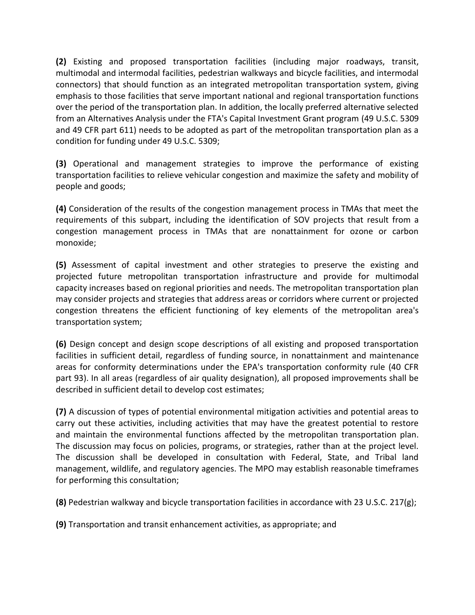**(2)** Existing and proposed transportation facilities (including major roadways, transit, multimodal and intermodal facilities, pedestrian walkways and bicycle facilities, and intermodal connectors) that should function as an integrated metropolitan transportation system, giving emphasis to those facilities that serve important national and regional transportation functions over the period of the transportation plan. In addition, the locally preferred alternative selected from an Alternatives Analysis under the FTA's Capital Investment Grant program (49 U.S.C. 5309 and 49 CFR part 611) needs to be adopted as part of the metropolitan transportation plan as a condition for funding under 49 U.S.C. 5309;

**(3)** Operational and management strategies to improve the performance of existing transportation facilities to relieve vehicular congestion and maximize the safety and mobility of people and goods;

**(4)** Consideration of the results of the congestion management process in TMAs that meet the requirements of this subpart, including the identification of SOV projects that result from a congestion management process in TMAs that are nonattainment for ozone or carbon monoxide;

**(5)** Assessment of capital investment and other strategies to preserve the existing and projected future metropolitan transportation infrastructure and provide for multimodal capacity increases based on regional priorities and needs. The metropolitan transportation plan may consider projects and strategies that address areas or corridors where current or projected congestion threatens the efficient functioning of key elements of the metropolitan area's transportation system;

**(6)** Design concept and design scope descriptions of all existing and proposed transportation facilities in sufficient detail, regardless of funding source, in nonattainment and maintenance areas for conformity determinations under the EPA's transportation conformity rule (40 CFR part 93). In all areas (regardless of air quality designation), all proposed improvements shall be described in sufficient detail to develop cost estimates;

**(7)** A discussion of types of potential environmental mitigation activities and potential areas to carry out these activities, including activities that may have the greatest potential to restore and maintain the environmental functions affected by the metropolitan transportation plan. The discussion may focus on policies, programs, or strategies, rather than at the project level. The discussion shall be developed in consultation with Federal, State, and Tribal land management, wildlife, and regulatory agencies. The MPO may establish reasonable timeframes for performing this consultation;

**(8)** Pedestrian walkway and bicycle transportation facilities in accordance with 23 U.S.C. 217(g);

**(9)** Transportation and transit enhancement activities, as appropriate; and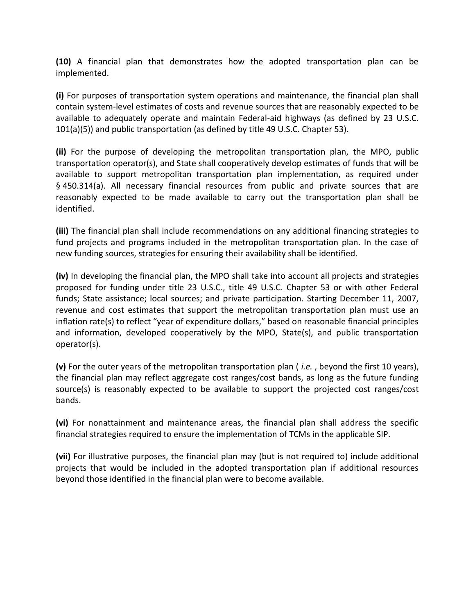**(10)** A financial plan that demonstrates how the adopted transportation plan can be implemented.

**(i)** For purposes of transportation system operations and maintenance, the financial plan shall contain system-level estimates of costs and revenue sources that are reasonably expected to be available to adequately operate and maintain Federal-aid highways (as defined by 23 U.S.C. 101(a)(5)) and public transportation (as defined by title 49 U.S.C. Chapter 53).

**(ii)** For the purpose of developing the metropolitan transportation plan, the MPO, public transportation operator(s), and State shall cooperatively develop estimates of funds that will be available to support metropolitan transportation plan implementation, as required under § 450.314(a). All necessary financial resources from public and private sources that are reasonably expected to be made available to carry out the transportation plan shall be identified.

**(iii)** The financial plan shall include recommendations on any additional financing strategies to fund projects and programs included in the metropolitan transportation plan. In the case of new funding sources, strategies for ensuring their availability shall be identified.

**(iv)** In developing the financial plan, the MPO shall take into account all projects and strategies proposed for funding under title 23 U.S.C., title 49 U.S.C. Chapter 53 or with other Federal funds; State assistance; local sources; and private participation. Starting December 11, 2007, revenue and cost estimates that support the metropolitan transportation plan must use an inflation rate(s) to reflect "year of expenditure dollars," based on reasonable financial principles and information, developed cooperatively by the MPO, State(s), and public transportation operator(s).

**(v)** For the outer years of the metropolitan transportation plan ( *i.e.* , beyond the first 10 years), the financial plan may reflect aggregate cost ranges/cost bands, as long as the future funding source(s) is reasonably expected to be available to support the projected cost ranges/cost bands.

**(vi)** For nonattainment and maintenance areas, the financial plan shall address the specific financial strategies required to ensure the implementation of TCMs in the applicable SIP.

**(vii)** For illustrative purposes, the financial plan may (but is not required to) include additional projects that would be included in the adopted transportation plan if additional resources beyond those identified in the financial plan were to become available.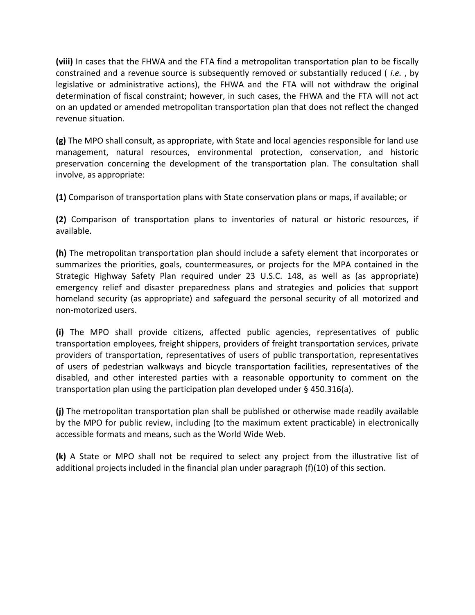**(viii)** In cases that the FHWA and the FTA find a metropolitan transportation plan to be fiscally constrained and a revenue source is subsequently removed or substantially reduced ( *i.e.* , by legislative or administrative actions), the FHWA and the FTA will not withdraw the original determination of fiscal constraint; however, in such cases, the FHWA and the FTA will not act on an updated or amended metropolitan transportation plan that does not reflect the changed revenue situation.

**(g)** The MPO shall consult, as appropriate, with State and local agencies responsible for land use management, natural resources, environmental protection, conservation, and historic preservation concerning the development of the transportation plan. The consultation shall involve, as appropriate:

**(1)** Comparison of transportation plans with State conservation plans or maps, if available; or

**(2)** Comparison of transportation plans to inventories of natural or historic resources, if available.

**(h)** The metropolitan transportation plan should include a safety element that incorporates or summarizes the priorities, goals, countermeasures, or projects for the MPA contained in the Strategic Highway Safety Plan required under 23 U.S.C. 148, as well as (as appropriate) emergency relief and disaster preparedness plans and strategies and policies that support homeland security (as appropriate) and safeguard the personal security of all motorized and non-motorized users.

**(i)** The MPO shall provide citizens, affected public agencies, representatives of public transportation employees, freight shippers, providers of freight transportation services, private providers of transportation, representatives of users of public transportation, representatives of users of pedestrian walkways and bicycle transportation facilities, representatives of the disabled, and other interested parties with a reasonable opportunity to comment on the transportation plan using the participation plan developed under  $\S$  450.316(a).

**(j)** The metropolitan transportation plan shall be published or otherwise made readily available by the MPO for public review, including (to the maximum extent practicable) in electronically accessible formats and means, such as the World Wide Web.

**(k)** A State or MPO shall not be required to select any project from the illustrative list of additional projects included in the financial plan under paragraph (f)(10) of this section.